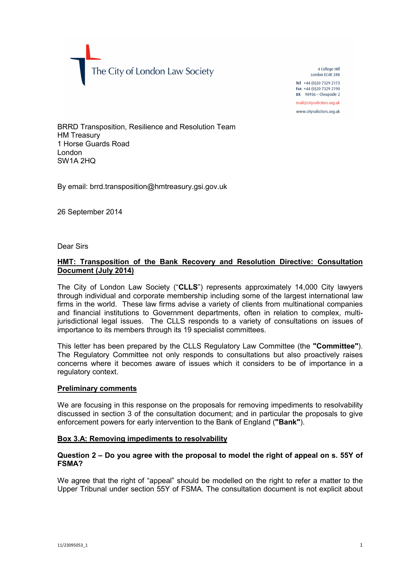The City of London Law Society

4 College Hill London FC4R 2RB Tel +44 (0) 20 7329 2173 Fax +44 (0)20 7329 2190 DX  $98936 -$  Cheapside 2 mail@citysolicitors.org.uk

www.citysolicitors.org.uk

BRRD Transposition, Resilience and Resolution Team HM Treasury 1 Horse Guards Road London SW1A 2HQ

By email: brrd.transposition@hmtreasury.gsi.gov.uk

26 September 2014

Dear Sirs

# **HMT: Transposition of the Bank Recovery and Resolution Directive: Consultation Document (July 2014)**

The City of London Law Society ("**CLLS**") represents approximately 14,000 City lawyers through individual and corporate membership including some of the largest international law firms in the world. These law firms advise a variety of clients from multinational companies and financial institutions to Government departments, often in relation to complex, multijurisdictional legal issues. The CLLS responds to a variety of consultations on issues of importance to its members through its 19 specialist committees.

This letter has been prepared by the CLLS Regulatory Law Committee (the **"Committee"**). The Regulatory Committee not only responds to consultations but also proactively raises concerns where it becomes aware of issues which it considers to be of importance in a regulatory context.

## **Preliminary comments**

We are focusing in this response on the proposals for removing impediments to resolvability discussed in section 3 of the consultation document; and in particular the proposals to give enforcement powers for early intervention to the Bank of England (**"Bank"**).

### **Box 3.A: Removing impediments to resolvability**

# **Question 2 – Do you agree with the proposal to model the right of appeal on s. 55Y of FSMA?**

We agree that the right of "appeal" should be modelled on the right to refer a matter to the Upper Tribunal under section 55Y of FSMA. The consultation document is not explicit about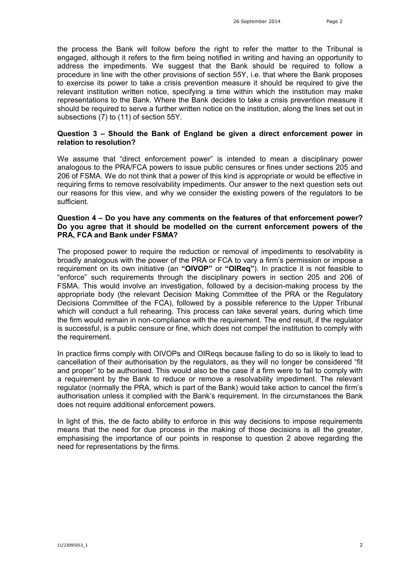the process the Bank will follow before the right to refer the matter to the Tribunal is engaged, although it refers to the firm being notified in writing and having an opportunity to address the impediments. We suggest that the Bank should be required to follow a procedure in line with the other provisions of section 55Y, i.e. that where the Bank proposes to exercise its power to take a crisis prevention measure it should be required to give the relevant institution written notice, specifying a time within which the institution may make representations to the Bank. Where the Bank decides to take a crisis prevention measure it should be required to serve a further written notice on the institution, along the lines set out in subsections (7) to (11) of section 55Y.

# **Question 3 – Should the Bank of England be given a direct enforcement power in relation to resolution?**

We assume that "direct enforcement power" is intended to mean a disciplinary power analogous to the PRA/FCA powers to issue public censures or fines under sections 205 and 206 of FSMA. We do not think that a power of this kind is appropriate or would be effective in requiring firms to remove resolvability impediments. Our answer to the next question sets out our reasons for this view, and why we consider the existing powers of the regulators to be sufficient.

### **Question 4 – Do you have any comments on the features of that enforcement power? Do you agree that it should be modelled on the current enforcement powers of the PRA, FCA and Bank under FSMA?**

The proposed power to require the reduction or removal of impediments to resolvability is broadly analogous with the power of the PRA or FCA to vary a firm's permission or impose a requirement on its own initiative (an **"OIVOP"** or **"OIReq"**). In practice it is not feasible to "enforce" such requirements through the disciplinary powers in section 205 and 206 of FSMA. This would involve an investigation, followed by a decision-making process by the appropriate body (the relevant Decision Making Committee of the PRA or the Regulatory Decisions Committee of the FCA), followed by a possible reference to the Upper Tribunal which will conduct a full rehearing. This process can take several years, during which time the firm would remain in non-compliance with the requirement. The end result, if the regulator is successful, is a public censure or fine, which does not compel the institution to comply with the requirement.

In practice firms comply with OIVOPs and OIRegs because failing to do so is likely to lead to cancellation of their authorisation by the regulators, as they will no longer be considered "fit and proper" to be authorised. This would also be the case if a firm were to fail to comply with a requirement by the Bank to reduce or remove a resolvability impediment. The relevant regulator (normally the PRA, which is part of the Bank) would take action to cancel the firm's authorisation unless it complied with the Bank's requirement. In the circumstances the Bank does not require additional enforcement powers.

In light of this, the de facto ability to enforce in this way decisions to impose requirements means that the need for due process in the making of those decisions is all the greater, emphasising the importance of our points in response to question 2 above regarding the need for representations by the firms.